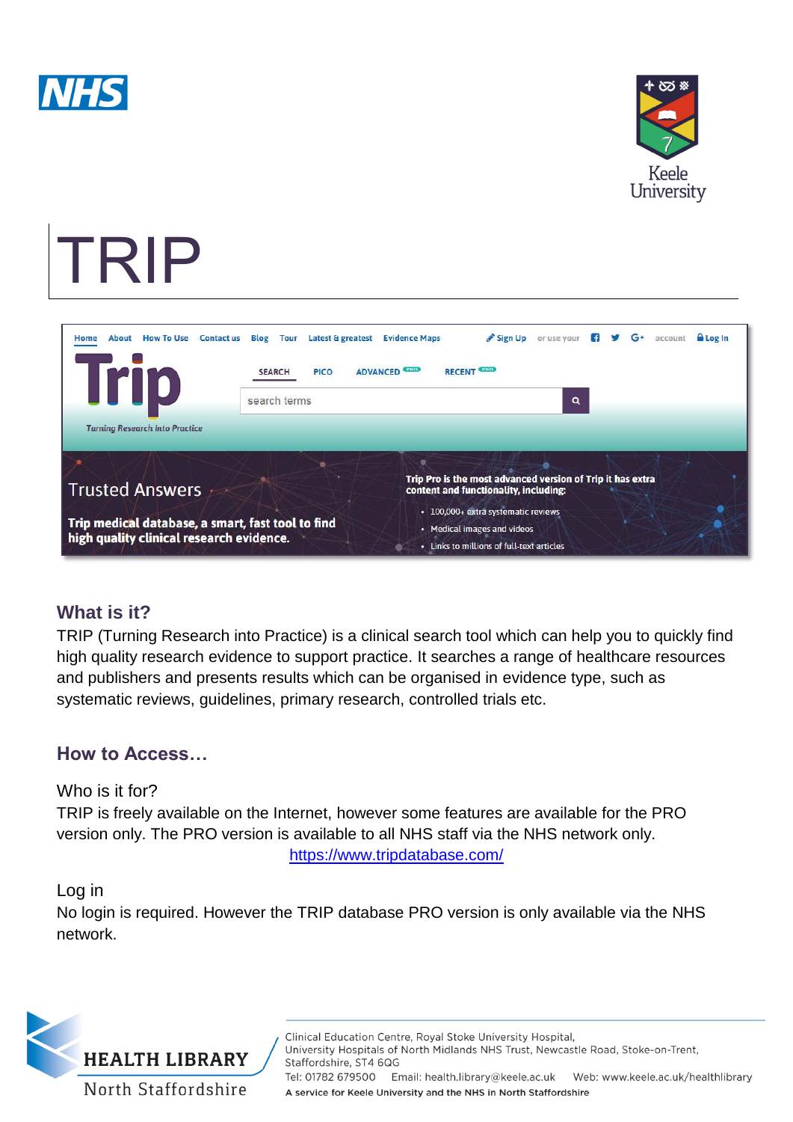



# TRIP

| <b>How To Use</b><br>Home<br><b>Contact us</b><br>About                                       | Latest & greatest<br><b>Blog</b><br><b>Tour</b> | <b>Evidence Maps</b>                                                                                | Sign Up                                                                  | or use your | н | $G^+$ | account | <b>A</b> Log In |
|-----------------------------------------------------------------------------------------------|-------------------------------------------------|-----------------------------------------------------------------------------------------------------|--------------------------------------------------------------------------|-------------|---|-------|---------|-----------------|
| <b>Irip</b>                                                                                   | <b>PICO</b><br><b>SEARCH</b>                    | <b>PRO</b><br><b>ADVANCED</b>                                                                       | <b>RECENT CRO</b>                                                        |             |   |       |         |                 |
|                                                                                               | $\mathbf{Q}$<br>search terms                    |                                                                                                     |                                                                          |             |   |       |         |                 |
| <b>Turning Research Into Practice</b>                                                         |                                                 |                                                                                                     |                                                                          |             |   |       |         |                 |
| <b>Trusted Answers</b>                                                                        |                                                 | Trip Pro is the most advanced version of Trip it has extra<br>content and functionality, including: |                                                                          |             |   |       |         |                 |
| Trip medical database, a smart, fast tool to find<br>high quality clinical research evidence. |                                                 |                                                                                                     | · 100,000+ extra systematic reviews                                      |             |   |       |         |                 |
|                                                                                               |                                                 |                                                                                                     | • Medical images and videos<br>• Links to millions of full-text articles |             |   |       |         |                 |

## **What is it?**

TRIP (Turning Research into Practice) is a clinical search tool which can help you to quickly find high quality research evidence to support practice. It searches a range of healthcare resources and publishers and presents results which can be organised in evidence type, such as systematic reviews, guidelines, primary research, controlled trials etc.

## **How to Access…**

Who is it for?

TRIP is freely available on the Internet, however some features are available for the PRO version only. The PRO version is available to all NHS staff via the NHS network only. <https://www.tripdatabase.com/>

#### Log in

No login is required. However the TRIP database PRO version is only available via the NHS network.



Clinical Education Centre, Royal Stoke University Hospital, University Hospitals of North Midlands NHS Trust, Newcastle Road, Stoke-on-Trent, Staffordshire, ST4 6QG Tel: 01782 679500 Email: health.library@keele.ac.uk Web: www.keele.ac.uk/healthlibrary A service for Keele University and the NHS in North Staffordshire